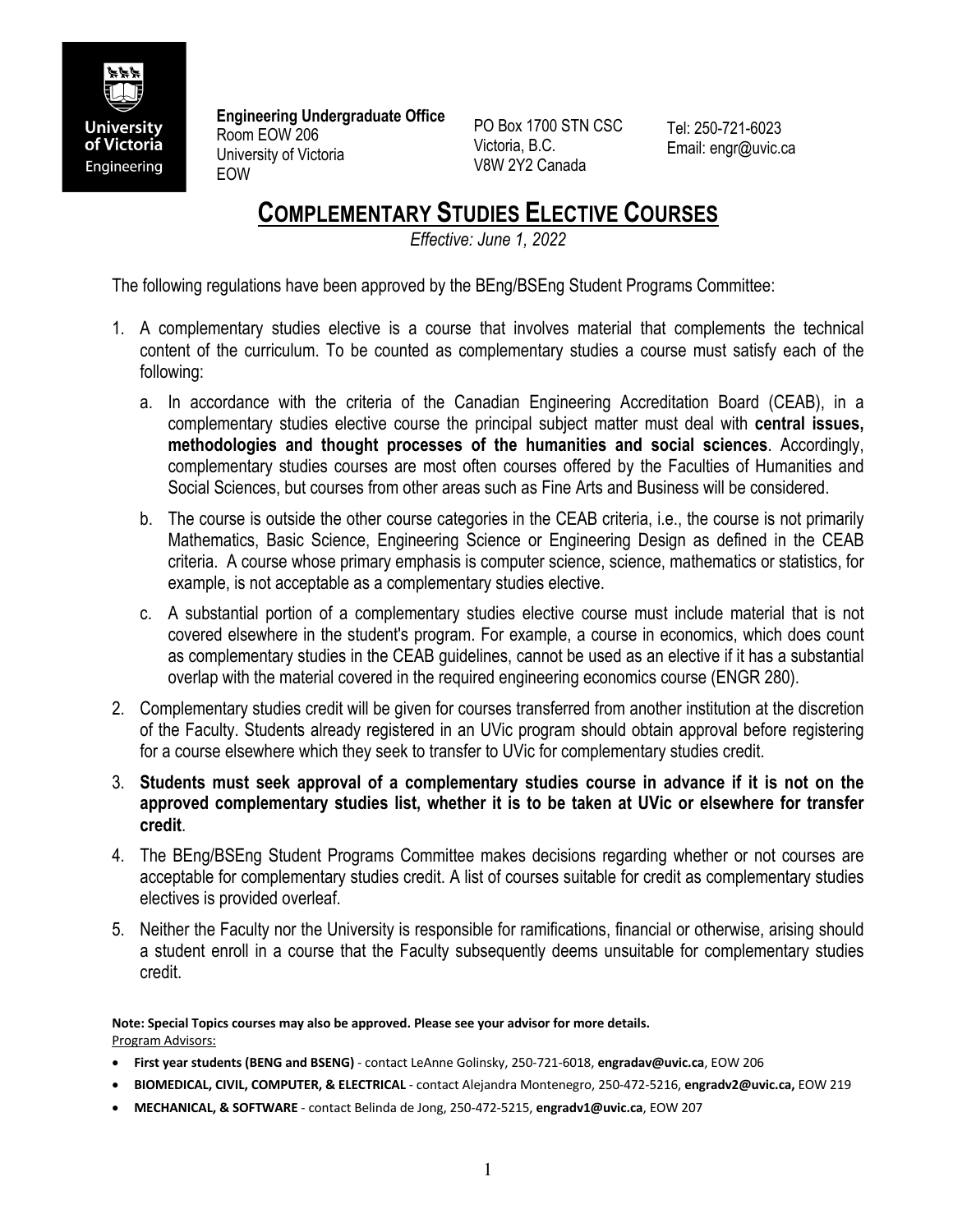

**Engineering Undergraduate Office**  Room EOW 206 University of Victoria EOW

PO Box 1700 STN CSC Victoria, B.C. V8W 2Y2 Canada

Tel: 250-721-6023 Email: engr@uvic.ca

## **COMPLEMENTARY STUDIES ELECTIVE COURSES**

*Effective: June 1, 2022*

The following regulations have been approved by the BEng/BSEng Student Programs Committee:

- 1. A complementary studies elective is a course that involves material that complements the technical content of the curriculum. To be counted as complementary studies a course must satisfy each of the following:
	- a. In accordance with the criteria of the Canadian Engineering Accreditation Board (CEAB), in a complementary studies elective course the principal subject matter must deal with **central issues, methodologies and thought processes of the humanities and social sciences**. Accordingly, complementary studies courses are most often courses offered by the Faculties of Humanities and Social Sciences, but courses from other areas such as Fine Arts and Business will be considered.
	- b. The course is outside the other course categories in the CEAB criteria, i.e., the course is not primarily Mathematics, Basic Science, Engineering Science or Engineering Design as defined in the CEAB criteria. A course whose primary emphasis is computer science, science, mathematics or statistics, for example, is not acceptable as a complementary studies elective.
	- c. A substantial portion of a complementary studies elective course must include material that is not covered elsewhere in the student's program. For example, a course in economics, which does count as complementary studies in the CEAB guidelines, cannot be used as an elective if it has a substantial overlap with the material covered in the required engineering economics course (ENGR 280).
- 2. Complementary studies credit will be given for courses transferred from another institution at the discretion of the Faculty. Students already registered in an UVic program should obtain approval before registering for a course elsewhere which they seek to transfer to UVic for complementary studies credit.
- 3. **Students must seek approval of a complementary studies course in advance if it is not on the approved complementary studies list, whether it is to be taken at UVic or elsewhere for transfer credit**.
- 4. The BEng/BSEng Student Programs Committee makes decisions regarding whether or not courses are acceptable for complementary studies credit. A list of courses suitable for credit as complementary studies electives is provided overleaf.
- 5. Neither the Faculty nor the University is responsible for ramifications, financial or otherwise, arising should a student enroll in a course that the Faculty subsequently deems unsuitable for complementary studies credit.

**Note: Special Topics courses may also be approved. Please see your advisor for more details.**  Program Advisors:

- **First year students (BENG and BSENG)** contact LeAnne Golinsky, 250-721-6018, **engradav@uvic.ca**, EOW 206
- **BIOMEDICAL, CIVIL, COMPUTER, & ELECTRICAL**  contact Alejandra Montenegro, 250-472-5216, **engradv2@uvic.ca,** EOW 219
- **MECHANICAL, & SOFTWARE** contact Belinda de Jong, 250-472-5215, **engradv1@uvic.ca**, EOW 207